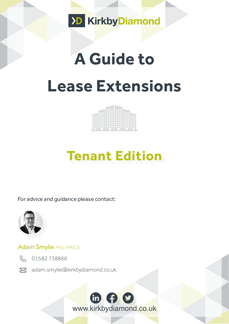

# **A Guide to Lease Extensions**

| ٠ |  |  |
|---|--|--|
|   |  |  |
|   |  |  |

## **Tenant Edition**

For advice and guidance please contact:



#### Adam Smylie MSc MRICS



R 01582738866

[adam.smylie@kirkbydiamond.co.uk](http://Adam.smylie@kirkbydiamond.co.uk ) 

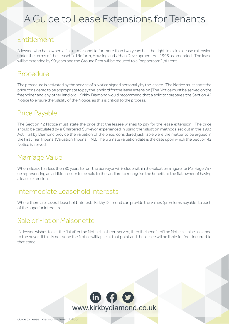### A Guide to Lease Extensions for Tenants

#### Entitlement

A lessee who has owned a flat or maisonette for more than two years has the right to claim a lease extension under the terms of the Leasehold Reform, Housing and Urban Development Act 1993 as amended. The lease will be extended by 90 years and the Ground Rent will be reduced to a "peppercorn" (nil) rent.

#### Procedure

The procedure is activated by the service of a Notice signed personally by the lessee. The Notice must state the price considered to be appropriate to pay the landlord for the lease extension (The Notice must be served on the freeholder and any other landlord). Kirkby Diamond would recommend that a solicitor prepares the Section 42 Notice to ensure the validity of the Notice, as this is critical to the process.

#### Price Payable

The Section 42 Notice must state the price that the lessee wishes to pay for the lease extension. The price should be calculated by a Chartered Surveyor experienced in using the valuation methods set out in the 1993 Act. Kirkby Diamond provide the valuation of the price, considered justifiable were the matter to be argued in the First Tier Tribunal (Valuation Tribunal). NB. The ultimate valuation date is the date upon which the Section 42 Notice is served.

#### Marriage Value

When a lease has less then 80 years to run, the Surveyor will include within the valuation a figure for Marriage Value representing an additional sum to be paid to the landlord to recognise the benefit to the flat owner of having a lease extension.

#### Intermediate Leasehold Interests

Where there are several leasehold interests Kirkby Diamond can provide the values (premiums payable) to each of the superior interests.

#### Sale of Flat or Maisonette

If a lessee wishes to sell the flat after the Notice has been served, then the benefit of the Notice can be assigned to the buyer. If this is not done the Notice will lapse at that point and the lessee will be liable for fees incurred to that stage.

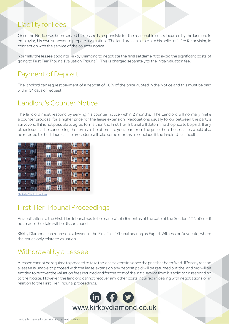#### Liability for Fees

Once the Notice has been served the lessee is responsible for the reasonable costs incurred by the landlord in employing his own surveyor to prepare a valuation. The landlord can also claim his solicitor's fee for advising in connection with the service of the counter notice.

Normally the lessee appoints Kirkby Diamond to negotiate the final settlement to avoid the significant costs of going to First Tier Tribunal (Valuation Tribunal). This is charged separately to the initial valuation fee.

#### Payment of Deposit

The landlord can request payment of a deposit of 10% of the price quoted in the Notice and this must be paid within 14 days of request.

#### Landlord's Counter Notice

The landlord must respond by serving his counter notice within 2 months. The Landlord will normally make a counter proposal for a higher price for the lease extension. Negotiations usually follow between the party's surveyors. If it is not possible to agree terms then the First Tier Tribunal will determine the price to be paid. If any other issues arise concerning the terms to be offered to you apart from the price then these issues would also be referred to the Tribunal. The procedure will take some months to conclude if the landlord is difficult.



[Photo by Vladimir Kudinov](https://www.pexels.com/photo/brown-apartment-36366/ )

#### First Tier Tribunal Proceedings

An application to the First Tier Tribunal has to be made within 6 months of the date of the Section 42 Notice – if not made, the claim will be discontinued.

Kirkby Diamond can represent a lessee in the First Tier Tribunal hearing as Expert Witness or Advocate, where the issues only relate to valuation.

#### Withdrawal by a Lessee

A lessee cannot be required to proceed to take the lease extension once the price has been fixed. If for any reason a lessee is unable to proceed with the lease extension any deposit paid will be returned but the landlord will be entitled to recover the valuation fees incurred and for the cost of the initial advice from his solicitor in responding to the Notice. However, the landlord cannot recover any other costs incurred in dealing with negotiations or in relation to the First Tier Tribunal proceedings.



Guide to Lease Extensions - Tenant Edition